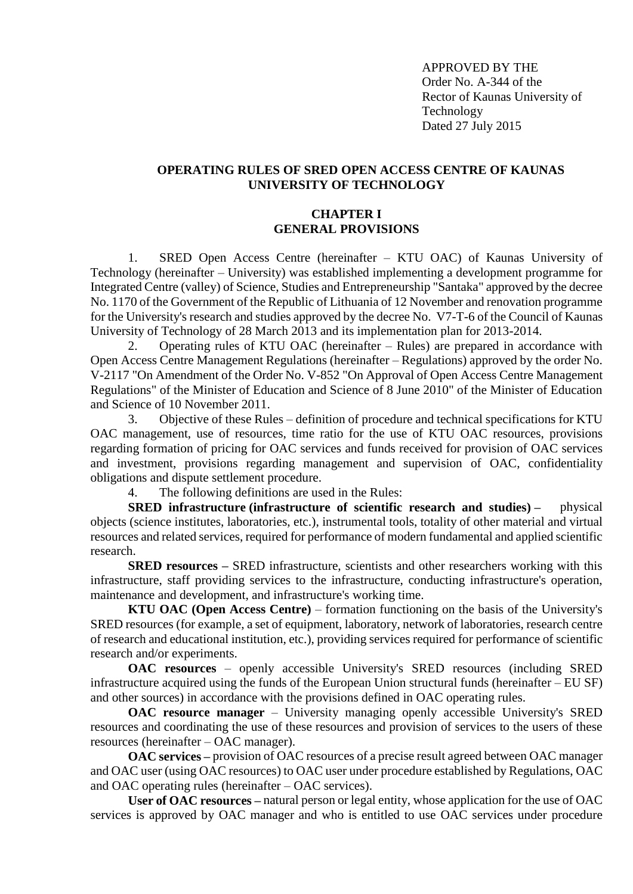APPROVED BY THE Order No. A-344 of the Rector of Kaunas University of Technology Dated 27 July 2015

# **OPERATING RULES OF SRED OPEN ACCESS CENTRE OF KAUNAS UNIVERSITY OF TECHNOLOGY**

## **CHAPTER I GENERAL PROVISIONS**

1. SRED Open Access Centre (hereinafter – KTU OAC) of Kaunas University of Technology (hereinafter – University) was established implementing a development programme for Integrated Centre (valley) of Science, Studies and Entrepreneurship "Santaka" approved by the decree No. 1170 of the Government of the Republic of Lithuania of 12 November and renovation programme for the University's research and studies approved by the decree No. V7-T-6 of the Council of Kaunas University of Technology of 28 March 2013 and its implementation plan for 2013-2014.

2. Operating rules of KTU OAC (hereinafter – Rules) are prepared in accordance with Open Access Centre Management Regulations (hereinafter – Regulations) approved by the order No. V-2117 "On Amendment of the Order No. V-852 "On Approval of Open Access Centre Management Regulations" of the Minister of Education and Science of 8 June 2010" of the Minister of Education and Science of 10 November 2011.

3. Objective of these Rules – definition of procedure and technical specifications for KTU OAC management, use of resources, time ratio for the use of KTU OAC resources, provisions regarding formation of pricing for OAC services and funds received for provision of OAC services and investment, provisions regarding management and supervision of OAC, confidentiality obligations and dispute settlement procedure.

4. The following definitions are used in the Rules:

**SRED infrastructure (infrastructure of scientific research and studies) –** physical objects (science institutes, laboratories, etc.), instrumental tools, totality of other material and virtual resources and related services, required for performance of modern fundamental and applied scientific research.

**SRED resources** – SRED infrastructure, scientists and other researchers working with this infrastructure, staff providing services to the infrastructure, conducting infrastructure's operation, maintenance and development, and infrastructure's working time.

**KTU OAC (Open Access Centre)** – formation functioning on the basis of the University's SRED resources (for example, a set of equipment, laboratory, network of laboratories, research centre of research and educational institution, etc.), providing services required for performance of scientific research and/or experiments.

**OAC resources** – openly accessible University's SRED resources (including SRED infrastructure acquired using the funds of the European Union structural funds (hereinafter – EU SF) and other sources) in accordance with the provisions defined in OAC operating rules.

**OAC resource manager** – University managing openly accessible University's SRED resources and coordinating the use of these resources and provision of services to the users of these resources (hereinafter – OAC manager).

**OAC services –** provision of OAC resources of a precise result agreed between OAC manager and OAC user (using OAC resources) to OAC user under procedure established by Regulations, OAC and OAC operating rules (hereinafter – OAC services).

**User of OAC resources –** natural person or legal entity, whose application for the use of OAC services is approved by OAC manager and who is entitled to use OAC services under procedure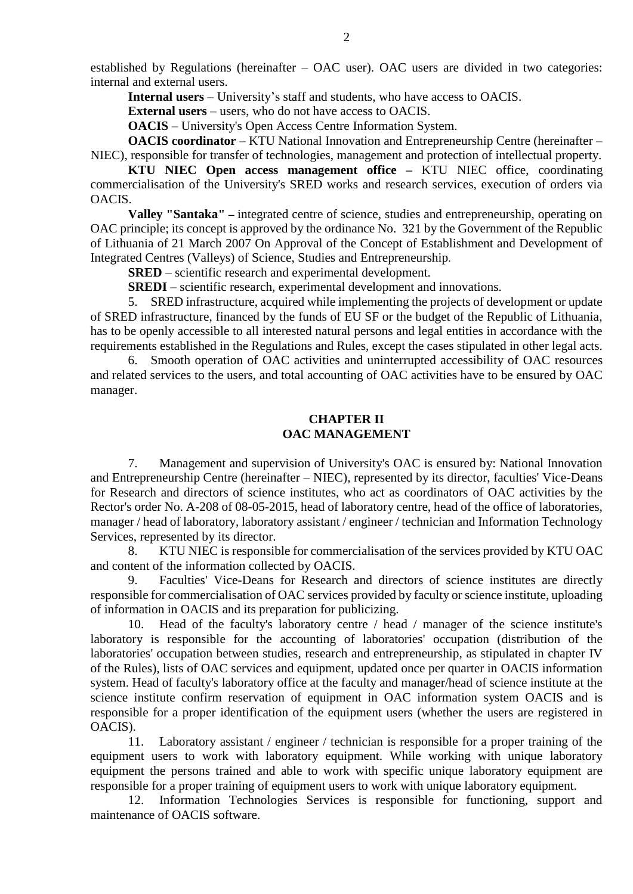established by Regulations (hereinafter – OAC user). OAC users are divided in two categories: internal and external users.

**Internal users** – University's staff and students, who have access to OACIS.

**External users** – users, who do not have access to OACIS.

**OACIS** – University's Open Access Centre Information System.

**OACIS coordinator** – KTU National Innovation and Entrepreneurship Centre (hereinafter – NIEC), responsible for transfer of technologies, management and protection of intellectual property.

**KTU NIEC Open access management office –** KTU NIEC office, coordinating commercialisation of the University's SRED works and research services, execution of orders via OACIS.

**Valley "Santaka"** – integrated centre of science, studies and entrepreneurship, operating on OAC principle; its concept is approved by the ordinance No. 321 by the Government of the Republic of Lithuania of 21 March 2007 On Approval of the Concept of Establishment and Development of Integrated Centres (Valleys) of Science, Studies and Entrepreneurship.

**SRED** – scientific research and experimental development.

**SREDI** – scientific research, experimental development and innovations.

5. SRED infrastructure, acquired while implementing the projects of development or update of SRED infrastructure, financed by the funds of EU SF or the budget of the Republic of Lithuania, has to be openly accessible to all interested natural persons and legal entities in accordance with the requirements established in the Regulations and Rules, except the cases stipulated in other legal acts.

6. Smooth operation of OAC activities and uninterrupted accessibility of OAC resources and related services to the users, and total accounting of OAC activities have to be ensured by OAC manager.

## **CHAPTER II OAC MANAGEMENT**

7. Management and supervision of University's OAC is ensured by: National Innovation and Entrepreneurship Centre (hereinafter – NIEC), represented by its director, faculties' Vice-Deans for Research and directors of science institutes, who act as coordinators of OAC activities by the Rector's order No. A-208 of 08-05-2015, head of laboratory centre, head of the office of laboratories, manager / head of laboratory, laboratory assistant / engineer / technician and Information Technology Services, represented by its director.

8. KTU NIEC is responsible for commercialisation of the services provided by KTU OAC and content of the information collected by OACIS.

9. Faculties' Vice-Deans for Research and directors of science institutes are directly responsible for commercialisation of OAC services provided by faculty or science institute, uploading of information in OACIS and its preparation for publicizing.

10. Head of the faculty's laboratory centre / head / manager of the science institute's laboratory is responsible for the accounting of laboratories' occupation (distribution of the laboratories' occupation between studies, research and entrepreneurship, as stipulated in chapter IV of the Rules), lists of OAC services and equipment, updated once per quarter in OACIS information system. Head of faculty's laboratory office at the faculty and manager/head of science institute at the science institute confirm reservation of equipment in OAC information system OACIS and is responsible for a proper identification of the equipment users (whether the users are registered in OACIS).

11. Laboratory assistant / engineer / technician is responsible for a proper training of the equipment users to work with laboratory equipment. While working with unique laboratory equipment the persons trained and able to work with specific unique laboratory equipment are responsible for a proper training of equipment users to work with unique laboratory equipment.

12. Information Technologies Services is responsible for functioning, support and maintenance of OACIS software.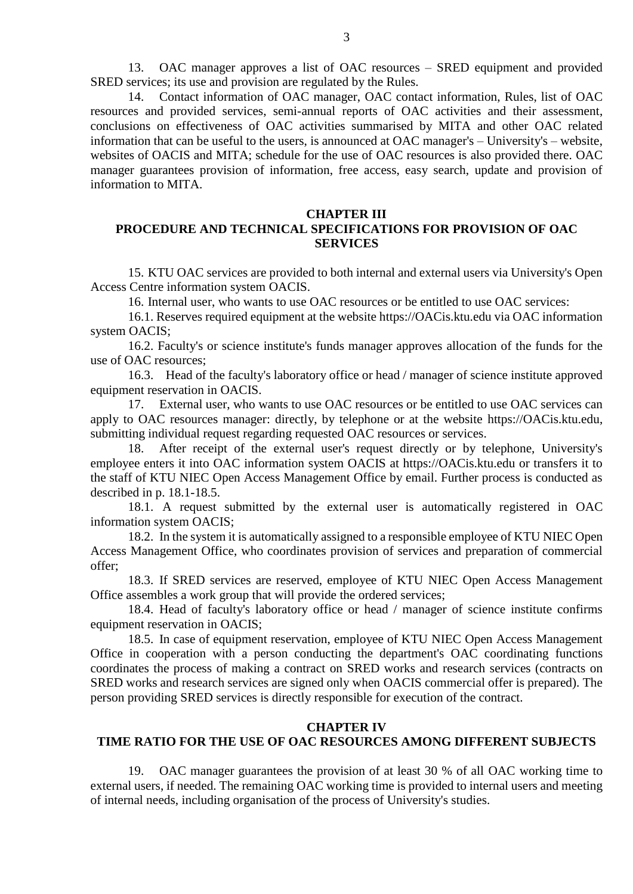13. OAC manager approves a list of OAC resources – SRED equipment and provided SRED services; its use and provision are regulated by the Rules.

14. Contact information of OAC manager, OAC contact information, Rules, list of OAC resources and provided services, semi-annual reports of OAC activities and their assessment, conclusions on effectiveness of OAC activities summarised by MITA and other OAC related information that can be useful to the users, is announced at OAC manager's – University's – website, websites of OACIS and MITA; schedule for the use of OAC resources is also provided there. OAC manager guarantees provision of information, free access, easy search, update and provision of information to MITA.

#### **CHAPTER III**

# **PROCEDURE AND TECHNICAL SPECIFICATIONS FOR PROVISION OF OAC SERVICES**

15. KTU OAC services are provided to both internal and external users via University's Open Access Centre information system OACIS.

16. Internal user, who wants to use OAC resources or be entitled to use OAC services:

16.1. Reserves required equipment at the website [https://OACis.ktu.edu](https://apcis.ktu.edu/) via OAC information system OACIS;

16.2. Faculty's or science institute's funds manager approves allocation of the funds for the use of OAC resources;

16.3. Head of the faculty's laboratory office or head / manager of science institute approved equipment reservation in OACIS.

17. External user, who wants to use OAC resources or be entitled to use OAC services can apply to OAC resources manager: directly, by telephone or at the website [https://OACis.ktu.edu,](https://apcis.ktu.edu/) submitting individual request regarding requested OAC resources or services.

18. After receipt of the external user's request directly or by telephone, University's employee enters it into OAC information system OACIS at [https://OACis.ktu.edu](https://apcis.ktu.edu/) or transfers it to the staff of KTU NIEC Open Access Management Office by email. Further process is conducted as described in p. 18.1-18.5.

18.1. A request submitted by the external user is automatically registered in OAC information system OACIS;

18.2. In the system it is automatically assigned to a responsible employee of KTU NIEC Open Access Management Office, who coordinates provision of services and preparation of commercial offer;

18.3. If SRED services are reserved, employee of KTU NIEC Open Access Management Office assembles a work group that will provide the ordered services;

18.4. Head of faculty's laboratory office or head / manager of science institute confirms equipment reservation in OACIS;

18.5. In case of equipment reservation, employee of KTU NIEC Open Access Management Office in cooperation with a person conducting the department's OAC coordinating functions coordinates the process of making a contract on SRED works and research services (contracts on SRED works and research services are signed only when OACIS commercial offer is prepared). The person providing SRED services is directly responsible for execution of the contract.

#### **CHAPTER IV**

# **TIME RATIO FOR THE USE OF OAC RESOURCES AMONG DIFFERENT SUBJECTS**

19. OAC manager guarantees the provision of at least 30 % of all OAC working time to external users, if needed. The remaining OAC working time is provided to internal users and meeting of internal needs, including organisation of the process of University's studies.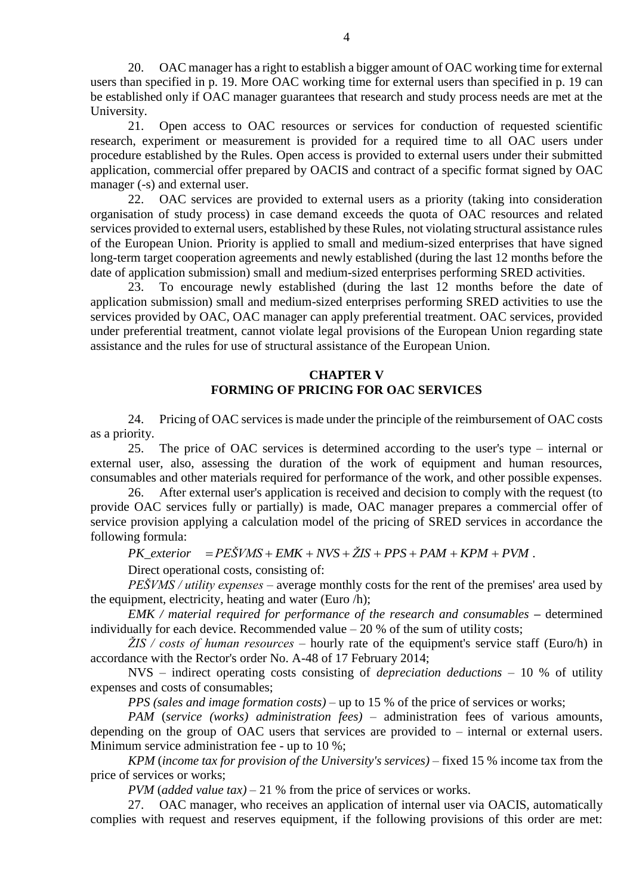20. OAC manager has a right to establish a bigger amount of OAC working time for external users than specified in p. 19. More OAC working time for external users than specified in p. 19 can be established only if OAC manager guarantees that research and study process needs are met at the University.

21. Open access to OAC resources or services for conduction of requested scientific research, experiment or measurement is provided for a required time to all OAC users under procedure established by the Rules. Open access is provided to external users under their submitted application, commercial offer prepared by OACIS and contract of a specific format signed by OAC manager (-s) and external user.

22. OAC services are provided to external users as a priority (taking into consideration organisation of study process) in case demand exceeds the quota of OAC resources and related services provided to external users, established by these Rules, not violating structural assistance rules of the European Union. Priority is applied to small and medium-sized enterprises that have signed long-term target cooperation agreements and newly established (during the last 12 months before the date of application submission) small and medium-sized enterprises performing SRED activities.

23. To encourage newly established (during the last 12 months before the date of application submission) small and medium-sized enterprises performing SRED activities to use the services provided by OAC, OAC manager can apply preferential treatment. OAC services, provided under preferential treatment, cannot violate legal provisions of the European Union regarding state assistance and the rules for use of structural assistance of the European Union.

## **CHAPTER V FORMING OF PRICING FOR OAC SERVICES**

24. Pricing of OAC services is made under the principle of the reimbursement of OAC costs as a priority.

25. The price of OAC services is determined according to the user's type – internal or external user, also, assessing the duration of the work of equipment and human resources, consumables and other materials required for performance of the work, and other possible expenses.

26. After external user's application is received and decision to comply with the request (to provide OAC services fully or partially) is made, OAC manager prepares a commercial offer of service provision applying a calculation model of the pricing of SRED services in accordance the following formula:

 $PK\_exterior$   $= PE\check{S}VMS + EMK + NVS + \check{Z}IS + PPS + PAM + KPM + PVM$ .

Direct operational costs, consisting of:

*PEŠVMS / utility expenses* – average monthly costs for the rent of the premises' area used by the equipment, electricity, heating and water (Euro /h);

*EMK / material required for performance of the research and consumables* **–** determined individually for each device. Recommended value  $-20$  % of the sum of utility costs;

*ŽIS / costs of human resources* – hourly rate of the equipment's service staff (Euro/h) in accordance with the Rector's order No. A-48 of 17 February 2014;

NVS – indirect operating costs consisting of *depreciation deductions* – 10 % of utility expenses and costs of consumables;

*PPS (sales and image formation costs)* – up to 15 % of the price of services or works;

*PAM* (*service (works) administration fees)* – administration fees of various amounts, depending on the group of OAC users that services are provided to – internal or external users. Minimum service administration fee - up to 10 %;

*KPM* (*income tax for provision of the University's services)* – fixed 15 % income tax from the price of services or works;

*PVM* (*added value tax)* – 21 % from the price of services or works.

27. OAC manager, who receives an application of internal user via OACIS, automatically complies with request and reserves equipment, if the following provisions of this order are met: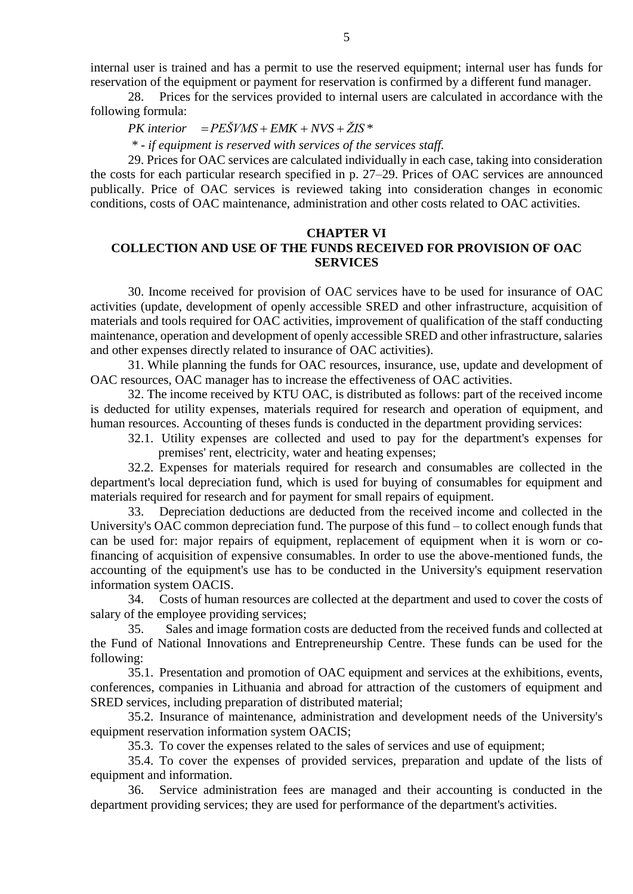internal user is trained and has a permit to use the reserved equipment; internal user has funds for reservation of the equipment or payment for reservation is confirmed by a different fund manager.

28. Prices for the services provided to internal users are calculated in accordance with the following formula:

 $PK\ interior$   $=$   $PE\check{S}VMS$   $+$   $EMK$   $+$   $NVS$   $+$   $\check{Z}IS$   $*$ 

*\* - if equipment is reserved with services of the services staff.*

29. Prices for OAC services are calculated individually in each case, taking into consideration the costs for each particular research specified in p. 27–29. Prices of OAC services are announced publically. Price of OAC services is reviewed taking into consideration changes in economic conditions, costs of OAC maintenance, administration and other costs related to OAC activities.

#### **CHAPTER VI**

# **COLLECTION AND USE OF THE FUNDS RECEIVED FOR PROVISION OF OAC SERVICES**

30. Income received for provision of OAC services have to be used for insurance of OAC activities (update, development of openly accessible SRED and other infrastructure, acquisition of materials and tools required for OAC activities, improvement of qualification of the staff conducting maintenance, operation and development of openly accessible SRED and other infrastructure, salaries and other expenses directly related to insurance of OAC activities).

31. While planning the funds for OAC resources, insurance, use, update and development of OAC resources, OAC manager has to increase the effectiveness of OAC activities.

32. The income received by KTU OAC, is distributed as follows: part of the received income is deducted for utility expenses, materials required for research and operation of equipment, and human resources. Accounting of theses funds is conducted in the department providing services:

32.1. Utility expenses are collected and used to pay for the department's expenses for premises' rent, electricity, water and heating expenses;

32.2. Expenses for materials required for research and consumables are collected in the department's local depreciation fund, which is used for buying of consumables for equipment and materials required for research and for payment for small repairs of equipment.

33. Depreciation deductions are deducted from the received income and collected in the University's OAC common depreciation fund. The purpose of this fund – to collect enough funds that can be used for: major repairs of equipment, replacement of equipment when it is worn or cofinancing of acquisition of expensive consumables. In order to use the above-mentioned funds, the accounting of the equipment's use has to be conducted in the University's equipment reservation information system OACIS.

34. Costs of human resources are collected at the department and used to cover the costs of salary of the employee providing services;

35. Sales and image formation costs are deducted from the received funds and collected at the Fund of National Innovations and Entrepreneurship Centre. These funds can be used for the following:

35.1. Presentation and promotion of OAC equipment and services at the exhibitions, events, conferences, companies in Lithuania and abroad for attraction of the customers of equipment and SRED services, including preparation of distributed material;

35.2. Insurance of maintenance, administration and development needs of the University's equipment reservation information system OACIS;

35.3. To cover the expenses related to the sales of services and use of equipment;

35.4. To cover the expenses of provided services, preparation and update of the lists of equipment and information.

36. Service administration fees are managed and their accounting is conducted in the department providing services; they are used for performance of the department's activities.